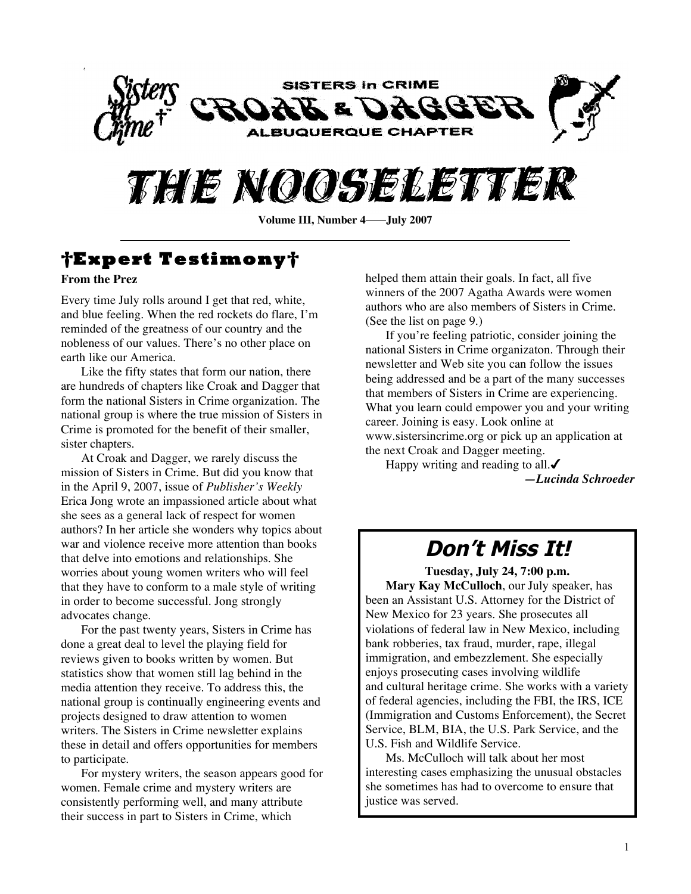



# **†Expert Testimony†**

#### **From the Prez**

Every time July rolls around I get that red, white, and blue feeling. When the red rockets do flare, I'm reminded of the greatness of our country and the nobleness of our values. There's no other place on earth like our America.

Like the fifty states that form our nation, there are hundreds of chapters like Croak and Dagger that form the national Sisters in Crime organization. The national group is where the true mission of Sisters in Crime is promoted for the benefit of their smaller, sister chapters.

At Croak and Dagger, we rarely discuss the mission of Sisters in Crime. But did you know that in the April 9, 2007, issue of *Publisher's Weekly* Erica Jong wrote an impassioned article about what she sees as a general lack of respect for women authors? In her article she wonders why topics about war and violence receive more attention than books that delve into emotions and relationships. She worries about young women writers who will feel that they have to conform to a male style of writing in order to become successful. Jong strongly advocates change.

For the past twenty years, Sisters in Crime has done a great deal to level the playing field for reviews given to books written by women. But statistics show that women still lag behind in the media attention they receive. To address this, the national group is continually engineering events and projects designed to draw attention to women writers. The Sisters in Crime newsletter explains these in detail and offers opportunities for members to participate.

For mystery writers, the season appears good for women. Female crime and mystery writers are consistently performing well, and many attribute their success in part to Sisters in Crime, which

helped them attain their goals. In fact, all five winners of the 2007 Agatha Awards were women authors who are also members of Sisters in Crime. (See the list on page 9.)

If you're feeling patriotic, consider joining the national Sisters in Crime organizaton. Through their newsletter and Web site you can follow the issues being addressed and be a part of the many successes that members of Sisters in Crime are experiencing. What you learn could empower you and your writing career. Joining is easy. Look online at www.sistersincrime.org or pick up an application at the next Croak and Dagger meeting.

Happy writing and reading to all. $\checkmark$ *—Lucinda Schroeder*

# **Don't Miss It!**

**Tuesday, July 24, 7:00 p.m. Mary Kay McCulloch**, our July speaker, has been an Assistant U.S. Attorney for the District of New Mexico for 23 years. She prosecutes all violations of federal law in New Mexico, including bank robberies, tax fraud, murder, rape, illegal immigration, and embezzlement. She especially enjoys prosecuting cases involving wildlife and cultural heritage crime. She works with a variety of federal agencies, including the FBI, the IRS, ICE (Immigration and Customs Enforcement), the Secret Service, BLM, BIA, the U.S. Park Service, and the U.S. Fish and Wildlife Service.

Ms. McCulloch will talk about her most interesting cases emphasizing the unusual obstacles she sometimes has had to overcome to ensure that justice was served.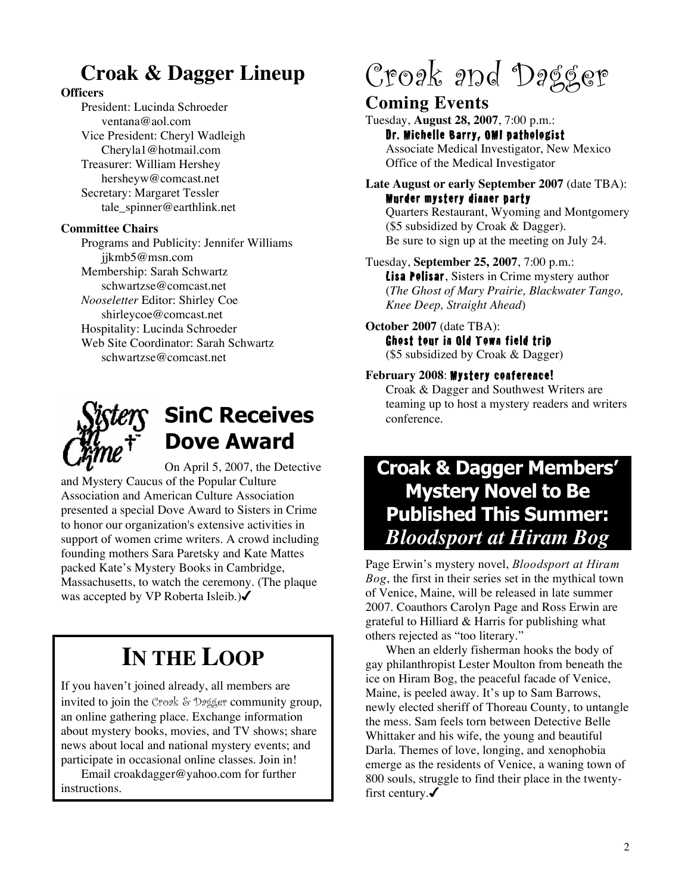# **Croak & Dagger Lineup**

#### **Officers**

President: Lucinda Schroeder ventana@aol.com Vice President: Cheryl Wadleigh Cheryla1@hotmail.com Treasurer: William Hershey hersheyw@comcast.net Secretary: Margaret Tessler tale\_spinner@earthlink.net

#### **Committee Chairs**

Programs and Publicity: Jennifer Williams jjkmb5@msn.com Membership: Sarah Schwartz schwartzse@comcast.net *Nooseletter* Editor: Shirley Coe shirleycoe@comcast.net Hospitality: Lucinda Schroeder Web Site Coordinator: Sarah Schwartz schwartzse@comcast.net



# **SinC Receives Dove Award**

On April 5, 2007, the Detective and Mystery Caucus of the Popular Culture Association and American Culture Association presented a special Dove Award to Sisters in Crime to honor our organization's extensive activities in support of women crime writers. A crowd including founding mothers Sara Paretsky and Kate Mattes packed Kate's Mystery Books in Cambridge, Massachusetts, to watch the ceremony. (The plaque was accepted by VP Roberta Isleib.)√

# **IN THE LOOP**

If you haven't joined already, all members are invited to join the Croak & Dagger community group, an online gathering place. Exchange information about mystery books, movies, and TV shows; share news about local and national mystery events; and participate in occasional online classes. Join in!

Email croakdagger@yahoo.com for further instructions.

# Croak and Dagger

### **Coming Events**

Tuesday, **August 28, 2007**, 7:00 p.m.: Dr. Michelle Barry, OMI pathologist Associate Medical Investigator, New Mexico Office of the Medical Investigator

#### **Late August or early September 2007** (date TBA): Murder mystery dinner party Quarters Restaurant, Wyoming and Montgomery (\$5 subsidized by Croak & Dagger). Be sure to sign up at the meeting on July 24.

Tuesday, **September 25, 2007**, 7:00 p.m.: Lisa Polisar, Sisters in Crime mystery author (*The Ghost of Mary Prairie, Blackwater Tango, Knee Deep, Straight Ahead*)

#### **October 2007** (date TBA): Ghost tour in Old Town field trip

(\$5 subsidized by Croak & Dagger)

#### **February 2008**: Mystery conference!

Croak & Dagger and Southwest Writers are teaming up to host a mystery readers and writers conference.

# **Croak & Dagger Members' Mystery Novel to Be Published This Summer:** *Bloodsport at Hiram Bog*

Page Erwin's mystery novel, *Bloodsport at Hiram Bog*, the first in their series set in the mythical town of Venice, Maine, will be released in late summer 2007. Coauthors Carolyn Page and Ross Erwin are grateful to Hilliard & Harris for publishing what others rejected as "too literary."

When an elderly fisherman hooks the body of gay philanthropist Lester Moulton from beneath the ice on Hiram Bog, the peaceful facade of Venice, Maine, is peeled away. It's up to Sam Barrows, newly elected sheriff of Thoreau County, to untangle the mess. Sam feels torn between Detective Belle Whittaker and his wife, the young and beautiful Darla. Themes of love, longing, and xenophobia emerge as the residents of Venice, a waning town of 800 souls, struggle to find their place in the twentyfirst century. $\checkmark$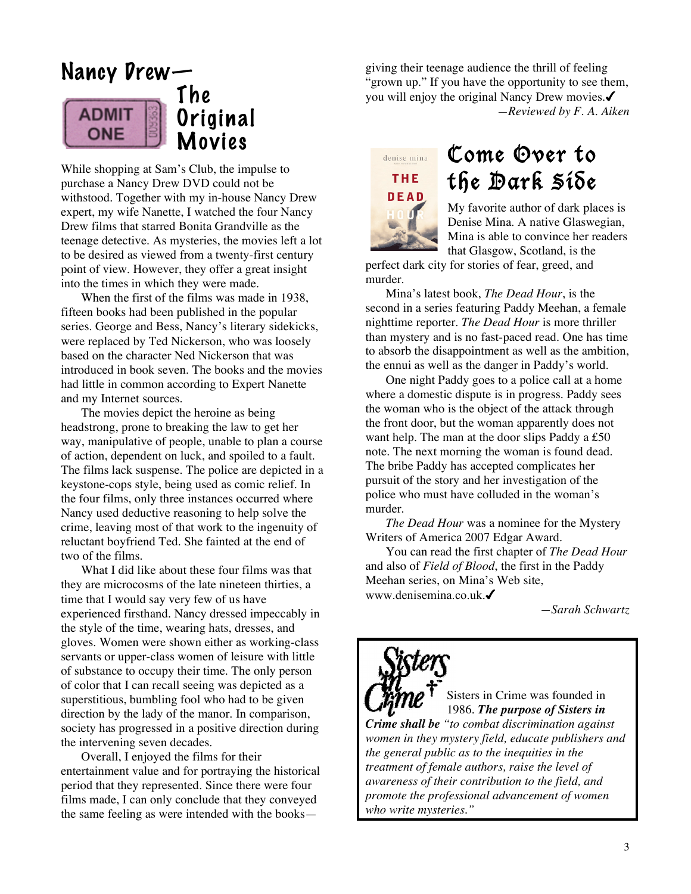# Nancy Drew—





While shopping at Sam's Club, the impulse to purchase a Nancy Drew DVD could not be withstood. Together with my in-house Nancy Drew expert, my wife Nanette, I watched the four Nancy Drew films that starred Bonita Grandville as the teenage detective. As mysteries, the movies left a lot to be desired as viewed from a twenty-first century point of view. However, they offer a great insight into the times in which they were made.

When the first of the films was made in 1938, fifteen books had been published in the popular series. George and Bess, Nancy's literary sidekicks, were replaced by Ted Nickerson, who was loosely based on the character Ned Nickerson that was introduced in book seven. The books and the movies had little in common according to Expert Nanette and my Internet sources.

The movies depict the heroine as being headstrong, prone to breaking the law to get her way, manipulative of people, unable to plan a course of action, dependent on luck, and spoiled to a fault. The films lack suspense. The police are depicted in a keystone-cops style, being used as comic relief. In the four films, only three instances occurred where Nancy used deductive reasoning to help solve the crime, leaving most of that work to the ingenuity of reluctant boyfriend Ted. She fainted at the end of two of the films.

What I did like about these four films was that they are microcosms of the late nineteen thirties, a time that I would say very few of us have experienced firsthand. Nancy dressed impeccably in the style of the time, wearing hats, dresses, and gloves. Women were shown either as working-class servants or upper-class women of leisure with little of substance to occupy their time. The only person of color that I can recall seeing was depicted as a superstitious, bumbling fool who had to be given direction by the lady of the manor. In comparison, society has progressed in a positive direction during the intervening seven decades.

Overall, I enjoyed the films for their entertainment value and for portraying the historical period that they represented. Since there were four films made, I can only conclude that they conveyed the same feeling as were intended with the booksgiving their teenage audience the thrill of feeling "grown up." If you have the opportunity to see them, you will enjoy the original Nancy Drew movies. *—Reviewed by F. A. Aiken*



# Come Over to the Dark Side

My favorite author of dark places is Denise Mina. A native Glaswegian, Mina is able to convince her readers that Glasgow, Scotland, is the

perfect dark city for stories of fear, greed, and murder.

Mina's latest book, *The Dead Hour*, is the second in a series featuring Paddy Meehan, a female nighttime reporter. *The Dead Hour* is more thriller than mystery and is no fast-paced read. One has time to absorb the disappointment as well as the ambition, the ennui as well as the danger in Paddy's world.

One night Paddy goes to a police call at a home where a domestic dispute is in progress. Paddy sees the woman who is the object of the attack through the front door, but the woman apparently does not want help. The man at the door slips Paddy a £50 note. The next morning the woman is found dead. The bribe Paddy has accepted complicates her pursuit of the story and her investigation of the police who must have colluded in the woman's murder.

*The Dead Hour* was a nominee for the Mystery Writers of America 2007 Edgar Award.

You can read the first chapter of *The Dead Hour* and also of *Field of Blood*, the first in the Paddy Meehan series, on Mina's Web site, www.denisemina.co.uk.

*—Sarah Schwartz*



Sisters in Crime was founded in 1986. *The purpose of Sisters in*

*Crime shall be "to combat discrimination against women in they mystery field, educate publishers and the general public as to the inequities in the treatment of female authors, raise the level of awareness of their contribution to the field, and promote the professional advancement of women who write mysteries."*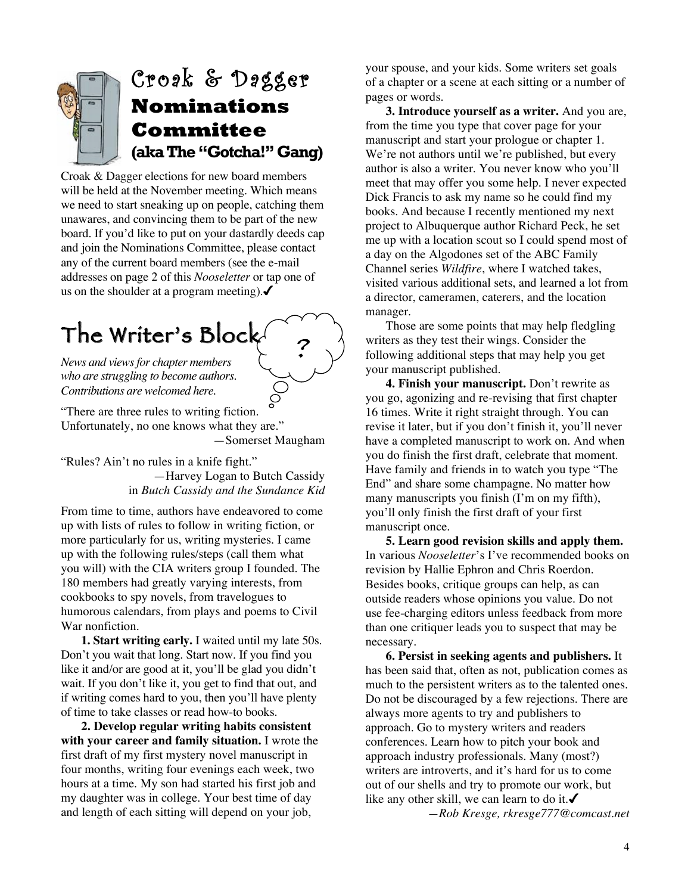

Croak & Dagger elections for new board members will be held at the November meeting. Which means we need to start sneaking up on people, catching them unawares, and convincing them to be part of the new board. If you'd like to put on your dastardly deeds cap and join the Nominations Committee, please contact any of the current board members (see the e-mail addresses on page 2 of this *Nooseletter* or tap one of us on the shoulder at a program meeting).  $\checkmark$ 

# The Writer's Block ?

*News and viewsfor chapter members who are struggling to become authors. Contributions are welcomed here.*

"There are three rules to writing fiction. Unfortunately, no one knows what they are." —Somerset Maugham

"Rules? Ain't no rules in a knife fight."

—Harvey Logan to Butch Cassidy in *Butch Cassidy and the Sundance Kid*

From time to time, authors have endeavored to come up with lists of rules to follow in writing fiction, or more particularly for us, writing mysteries. I came up with the following rules/steps (call them what you will) with the CIA writers group I founded. The 180 members had greatly varying interests, from cookbooks to spy novels, from travelogues to humorous calendars, from plays and poems to Civil War nonfiction.

**1. Start writing early.** I waited until my late 50s. Don't you wait that long. Start now. If you find you like it and/or are good at it, you'll be glad you didn't wait. If you don't like it, you get to find that out, and if writing comes hard to you, then you'll have plenty of time to take classes or read how-to books.

**2. Develop regular writing habits consistent with your career and family situation.** I wrote the first draft of my first mystery novel manuscript in four months, writing four evenings each week, two hours at a time. My son had started his first job and my daughter was in college. Your best time of day and length of each sitting will depend on your job,

your spouse, and your kids. Some writers set goals of a chapter or a scene at each sitting or a number of pages or words.

**3. Introduce yourself as a writer.** And you are, from the time you type that cover page for your manuscript and start your prologue or chapter 1. We're not authors until we're published, but every author is also a writer. You never know who you'll meet that may offer you some help. I never expected Dick Francis to ask my name so he could find my books. And because I recently mentioned my next project to Albuquerque author Richard Peck, he set me up with a location scout so I could spend most of a day on the Algodones set of the ABC Family Channel series *Wildfire*, where I watched takes, visited various additional sets, and learned a lot from a director, cameramen, caterers, and the location manager.

Those are some points that may help fledgling writers as they test their wings. Consider the following additional steps that may help you get your manuscript published.

**4. Finish your manuscript.** Don't rewrite as you go, agonizing and re-revising that first chapter 16 times. Write it right straight through. You can revise it later, but if you don't finish it, you'll never have a completed manuscript to work on. And when you do finish the first draft, celebrate that moment. Have family and friends in to watch you type "The End" and share some champagne. No matter how many manuscripts you finish (I'm on my fifth), you'll only finish the first draft of your first manuscript once.

**5. Learn good revision skills and apply them.** In various *Nooseletter*'s I've recommended books on revision by Hallie Ephron and Chris Roerdon. Besides books, critique groups can help, as can outside readers whose opinions you value. Do not use fee-charging editors unless feedback from more than one critiquer leads you to suspect that may be necessary.

**6. Persist in seeking agents and publishers.** It has been said that, often as not, publication comes as much to the persistent writers as to the talented ones. Do not be discouraged by a few rejections. There are always more agents to try and publishers to approach. Go to mystery writers and readers conferences. Learn how to pitch your book and approach industry professionals. Many (most?) writers are introverts, and it's hard for us to come out of our shells and try to promote our work, but like any other skill, we can learn to do it. $\checkmark$ 

*—Rob Kresge, rkresge777@comcast.net*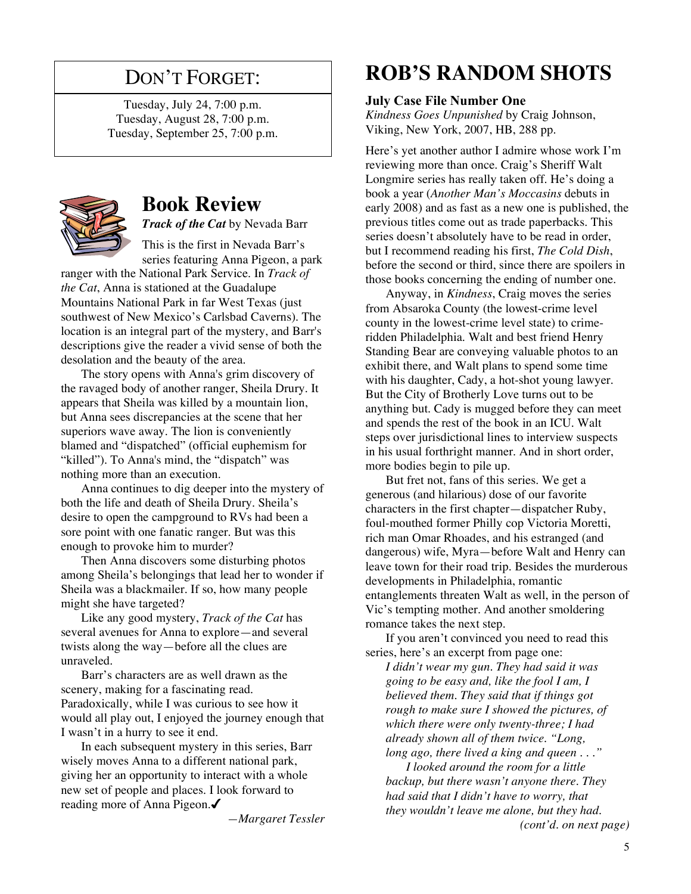# DON'T FORGET:

Tuesday, July 24, 7:00 p.m. Tuesday, August 28, 7:00 p.m. Tuesday, September 25, 7:00 p.m.



# **Book Review**

*Track of the Cat* by Nevada Barr

This is the first in Nevada Barr's series featuring Anna Pigeon, a park

ranger with the National Park Service. In *Track of the Cat*, Anna is stationed at the Guadalupe Mountains National Park in far West Texas (just southwest of New Mexico's Carlsbad Caverns). The location is an integral part of the mystery, and Barr's descriptions give the reader a vivid sense of both the desolation and the beauty of the area.

The story opens with Anna's grim discovery of the ravaged body of another ranger, Sheila Drury. It appears that Sheila was killed by a mountain lion, but Anna sees discrepancies at the scene that her superiors wave away. The lion is conveniently blamed and "dispatched" (official euphemism for "killed"). To Anna's mind, the "dispatch" was nothing more than an execution.

Anna continues to dig deeper into the mystery of both the life and death of Sheila Drury. Sheila's desire to open the campground to RVs had been a sore point with one fanatic ranger. But was this enough to provoke him to murder?

Then Anna discovers some disturbing photos among Sheila's belongings that lead her to wonder if Sheila was a blackmailer. If so, how many people might she have targeted?

Like any good mystery, *Track of the Cat* has several avenues for Anna to explore—and several twists along the way—before all the clues are unraveled.

Barr's characters are as well drawn as the scenery, making for a fascinating read. Paradoxically, while I was curious to see how it would all play out, I enjoyed the journey enough that I wasn't in a hurry to see it end.

In each subsequent mystery in this series, Barr wisely moves Anna to a different national park, giving her an opportunity to interact with a whole new set of people and places. I look forward to reading more of Anna Pigeon.

*—Margaret Tessler*

# **ROB'S RANDOM SHOTS**

#### **July Case File Number One**

*Kindness Goes Unpunished* by Craig Johnson, Viking, New York, 2007, HB, 288 pp.

Here's yet another author I admire whose work I'm reviewing more than once. Craig's Sheriff Walt Longmire series has really taken off. He's doing a book a year (*Another Man's Moccasins* debuts in early 2008) and as fast as a new one is published, the previous titles come out as trade paperbacks. This series doesn't absolutely have to be read in order, but I recommend reading his first, *The Cold Dish*, before the second or third, since there are spoilers in those books concerning the ending of number one.

Anyway, in *Kindness*, Craig moves the series from Absaroka County (the lowest-crime level county in the lowest-crime level state) to crimeridden Philadelphia. Walt and best friend Henry Standing Bear are conveying valuable photos to an exhibit there, and Walt plans to spend some time with his daughter, Cady, a hot-shot young lawyer. But the City of Brotherly Love turns out to be anything but. Cady is mugged before they can meet and spends the rest of the book in an ICU. Walt steps over jurisdictional lines to interview suspects in his usual forthright manner. And in short order, more bodies begin to pile up.

But fret not, fans of this series. We get a generous (and hilarious) dose of our favorite characters in the first chapter—dispatcher Ruby, foul-mouthed former Philly cop Victoria Moretti, rich man Omar Rhoades, and his estranged (and dangerous) wife, Myra—before Walt and Henry can leave town for their road trip. Besides the murderous developments in Philadelphia, romantic entanglements threaten Walt as well, in the person of Vic's tempting mother. And another smoldering romance takes the next step.

If you aren't convinced you need to read this series, here's an excerpt from page one:

*I didn't wear my gun. They had said it was going to be easy and, like the fool I am, I believed them. They said that if things got rough to make sure I showed the pictures, of which there were only twenty-three; I had already shown all of them twice. "Long, long ago, there lived a king and queen . . ."*

*I looked around the room for a little backup, but there wasn't anyone there. They had said that I didn't have to worry, that they wouldn't leave me alone, but they had. (cont'd. on next page)*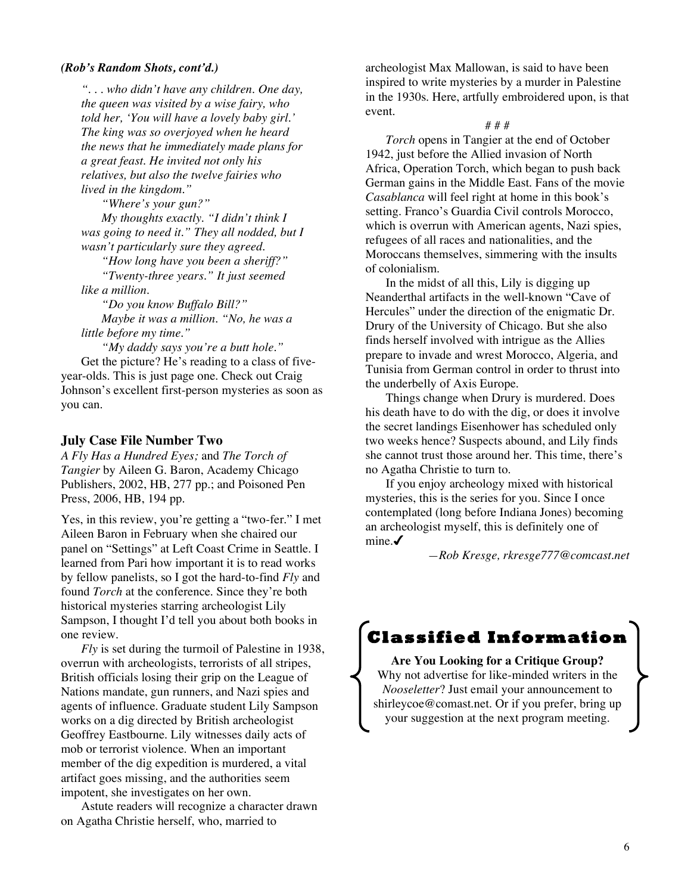#### *(Rob's Random Shots, cont'd.)*

*". . . who didn't have any children. One day, the queen was visited by a wise fairy, who told her, 'You will have a lovely baby girl.' The king was so overjoyed when he heard the news that he immediately made plans for a great feast. He invited not only his relatives, but also the twelve fairies who lived in the kingdom."*

*"Where's your gun?"*

*My thoughts exactly. "I didn't think I was going to need it." They all nodded, but I wasn't particularly sure they agreed.*

*"How long have you been a sheriff?" "Twenty-three years." It just seemed like a million.*

*"Do you know Buffalo Bill?" Maybe it was a million. "No, he was a little before my time."*

*"My daddy says you're a butt hole."* Get the picture? He's reading to a class of fiveyear-olds. This is just page one. Check out Craig Johnson's excellent first-person mysteries as soon as you can.

#### **July Case File Number Two**

*A Fly Has a Hundred Eyes;* and *The Torch of Tangier* by Aileen G. Baron, Academy Chicago Publishers, 2002, HB, 277 pp.; and Poisoned Pen Press, 2006, HB, 194 pp.

Yes, in this review, you're getting a "two-fer." I met Aileen Baron in February when she chaired our panel on "Settings" at Left Coast Crime in Seattle. I learned from Pari how important it is to read works by fellow panelists, so I got the hard-to-find *Fly* and found *Torch* at the conference. Since they're both historical mysteries starring archeologist Lily Sampson, I thought I'd tell you about both books in one review.

*Fly* is set during the turmoil of Palestine in 1938, overrun with archeologists, terrorists of all stripes, British officials losing their grip on the League of Nations mandate, gun runners, and Nazi spies and agents of influence. Graduate student Lily Sampson works on a dig directed by British archeologist Geoffrey Eastbourne. Lily witnesses daily acts of mob or terrorist violence. When an important member of the dig expedition is murdered, a vital artifact goes missing, and the authorities seem impotent, she investigates on her own.

Astute readers will recognize a character drawn on Agatha Christie herself, who, married to

archeologist Max Mallowan, is said to have been inspired to write mysteries by a murder in Palestine in the 1930s. Here, artfully embroidered upon, is that event.

#### # # #

*Torch* opens in Tangier at the end of October 1942, just before the Allied invasion of North Africa, Operation Torch, which began to push back German gains in the Middle East. Fans of the movie *Casablanca* will feel right at home in this book's setting. Franco's Guardia Civil controls Morocco, which is overrun with American agents, Nazi spies, refugees of all races and nationalities, and the Moroccans themselves, simmering with the insults of colonialism.

In the midst of all this, Lily is digging up Neanderthal artifacts in the well-known "Cave of Hercules" under the direction of the enigmatic Dr. Drury of the University of Chicago. But she also finds herself involved with intrigue as the Allies prepare to invade and wrest Morocco, Algeria, and Tunisia from German control in order to thrust into the underbelly of Axis Europe.

Things change when Drury is murdered. Does his death have to do with the dig, or does it involve the secret landings Eisenhower has scheduled only two weeks hence? Suspects abound, and Lily finds she cannot trust those around her. This time, there's no Agatha Christie to turn to.

If you enjoy archeology mixed with historical mysteries, this is the series for you. Since I once contemplated (long before Indiana Jones) becoming an archeologist myself, this is definitely one of mine. $\checkmark$ 

*—Rob Kresge, rkresge777@comcast.net*



**Are You Looking for a Critique Group?** Why not advertise for like-minded writers in the *Nooseletter*? Just email your announcement to shirleycoe@comast.net. Or if you prefer, bring up your suggestion at the next program meeting.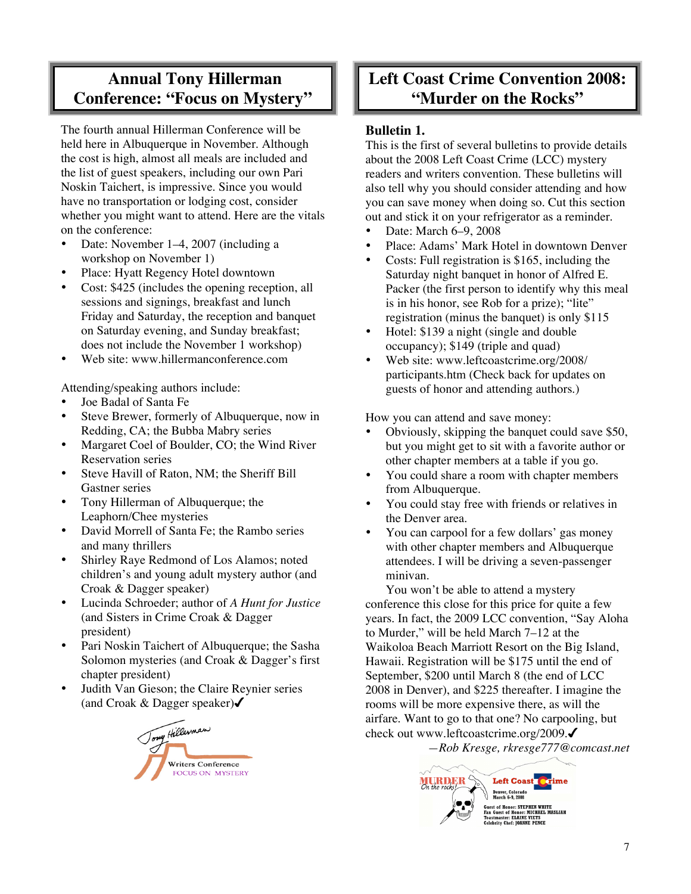## **Annual Tony Hillerman Conference: "Focus on Mystery"**

The fourth annual Hillerman Conference will be held here in Albuquerque in November. Although the cost is high, almost all meals are included and the list of guest speakers, including our own Pari Noskin Taichert, is impressive. Since you would have no transportation or lodging cost, consider whether you might want to attend. Here are the vitals on the conference:

- Date: November 1–4, 2007 (including a workshop on November 1)
- Place: Hyatt Regency Hotel downtown
- Cost: \$425 (includes the opening reception, all sessions and signings, breakfast and lunch Friday and Saturday, the reception and banquet on Saturday evening, and Sunday breakfast; does not include the November 1 workshop)
- Web site: www.hillermanconference.com

Attending/speaking authors include:

- Joe Badal of Santa Fe
- Steve Brewer, formerly of Albuquerque, now in Redding, CA; the Bubba Mabry series
- Margaret Coel of Boulder, CO; the Wind River Reservation series
- Steve Havill of Raton, NM; the Sheriff Bill Gastner series
- Tony Hillerman of Albuquerque; the Leaphorn/Chee mysteries
- David Morrell of Santa Fe; the Rambo series and many thrillers
- Shirley Raye Redmond of Los Alamos; noted children's and young adult mystery author (and Croak & Dagger speaker)
- Lucinda Schroeder; author of *A Hunt for Justice* (and Sisters in Crime Croak & Dagger president)
- Pari Noskin Taichert of Albuquerque; the Sasha Solomon mysteries (and Croak & Dagger's first chapter president)
- Judith Van Gieson; the Claire Reynier series



## **Left Coast Crime Convention 2008: "Murder on the Rocks"**

#### **Bulletin 1.**

This is the first of several bulletins to provide details about the 2008 Left Coast Crime (LCC) mystery readers and writers convention. These bulletins will also tell why you should consider attending and how you can save money when doing so. Cut this section out and stick it on your refrigerator as a reminder.

- Date: March 6–9, 2008
- Place: Adams' Mark Hotel in downtown Denver
- Costs: Full registration is \$165, including the Saturday night banquet in honor of Alfred E. Packer (the first person to identify why this meal is in his honor, see Rob for a prize); "lite" registration (minus the banquet) is only \$115
- Hotel: \$139 a night (single and double occupancy); \$149 (triple and quad)
- Web site: www.leftcoastcrime.org/2008/ participants.htm (Check back for updates on guests of honor and attending authors.)

How you can attend and save money:

- Obviously, skipping the banquet could save \$50, but you might get to sit with a favorite author or other chapter members at a table if you go.
- You could share a room with chapter members from Albuquerque.
- You could stay free with friends or relatives in the Denver area.
- You can carpool for a few dollars' gas money with other chapter members and Albuquerque attendees. I will be driving a seven-passenger minivan.

You won't be able to attend a mystery conference this close for this price for quite a few years. In fact, the 2009 LCC convention, "Say Aloha to Murder," will be held March 7–12 at the Waikoloa Beach Marriott Resort on the Big Island, Hawaii. Registration will be \$175 until the end of September, \$200 until March 8 (the end of LCC 2008 in Denver), and \$225 thereafter. I imagine the rooms will be more expensive there, as will the airfare. Want to go to that one? No carpooling, but check out www.leftcoastcrime.org/2009.

*—Rob Kresge, rkresge777@comcast.net*

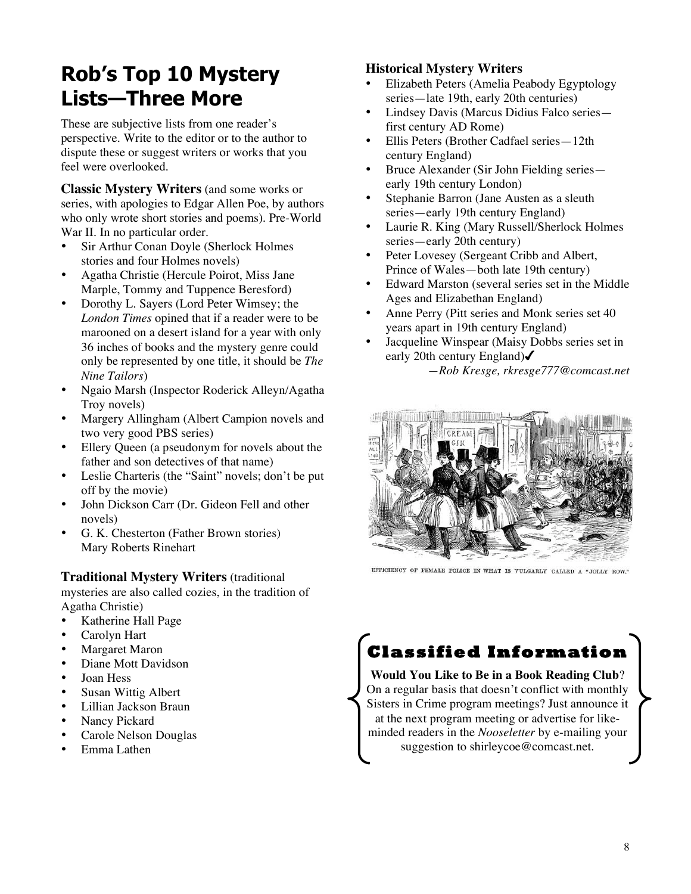# **Rob's Top 10 Mystery Lists—Three More**

These are subjective lists from one reader's perspective. Write to the editor or to the author to dispute these or suggest writers or works that you feel were overlooked.

**Classic Mystery Writers** (and some works or series, with apologies to Edgar Allen Poe, by authors who only wrote short stories and poems). Pre-World War II. In no particular order.

- Sir Arthur Conan Doyle (Sherlock Holmes stories and four Holmes novels)
- Agatha Christie (Hercule Poirot, Miss Jane Marple, Tommy and Tuppence Beresford)
- Dorothy L. Sayers (Lord Peter Wimsey; the *London Times* opined that if a reader were to be marooned on a desert island for a year with only 36 inches of books and the mystery genre could only be represented by one title, it should be *The Nine Tailors*)
- Ngaio Marsh (Inspector Roderick Alleyn/Agatha Troy novels)
- Margery Allingham (Albert Campion novels and two very good PBS series)
- Ellery Queen (a pseudonym for novels about the father and son detectives of that name)
- Leslie Charteris (the "Saint" novels; don't be put off by the movie)
- John Dickson Carr (Dr. Gideon Fell and other novels)
- G. K. Chesterton (Father Brown stories) Mary Roberts Rinehart

#### **Traditional Mystery Writers** (traditional

mysteries are also called cozies, in the tradition of Agatha Christie)

- Katherine Hall Page
- Carolyn Hart
- Margaret Maron
- Diane Mott Davidson
- Joan Hess
- Susan Wittig Albert
- Lillian Jackson Braun
- Nancy Pickard
- Carole Nelson Douglas
- Emma Lathen

#### **Historical Mystery Writers**

- Elizabeth Peters (Amelia Peabody Egyptology series—late 19th, early 20th centuries)
- Lindsey Davis (Marcus Didius Falco series first century AD Rome)
- Ellis Peters (Brother Cadfael series—12th century England)
- Bruce Alexander (Sir John Fielding series early 19th century London)
- Stephanie Barron (Jane Austen as a sleuth series—early 19th century England)
- Laurie R. King (Mary Russell/Sherlock Holmes series—early 20th century)
- Peter Lovesey (Sergeant Cribb and Albert, Prince of Wales—both late 19th century)
- Edward Marston (several series set in the Middle Ages and Elizabethan England)
- Anne Perry (Pitt series and Monk series set 40 years apart in 19th century England)
- Jacqueline Winspear (Maisy Dobbs series set in early 20th century England) *—Rob Kresge, rkresge777@comcast.net*



EFFICIENCY OF FEMALE POLICE IN WHAT IS VULGARLY CALLED A "JOLLY ROW."

# **Classified Information**

#### **Would You Like to Be in a Book Reading Club**? On a regular basis that doesn't conflict with monthly Sisters in Crime program meetings? Just announce it at the next program meeting or advertise for likeminded readers in the *Nooseletter* by e-mailing your suggestion to shirleycoe@comcast.net.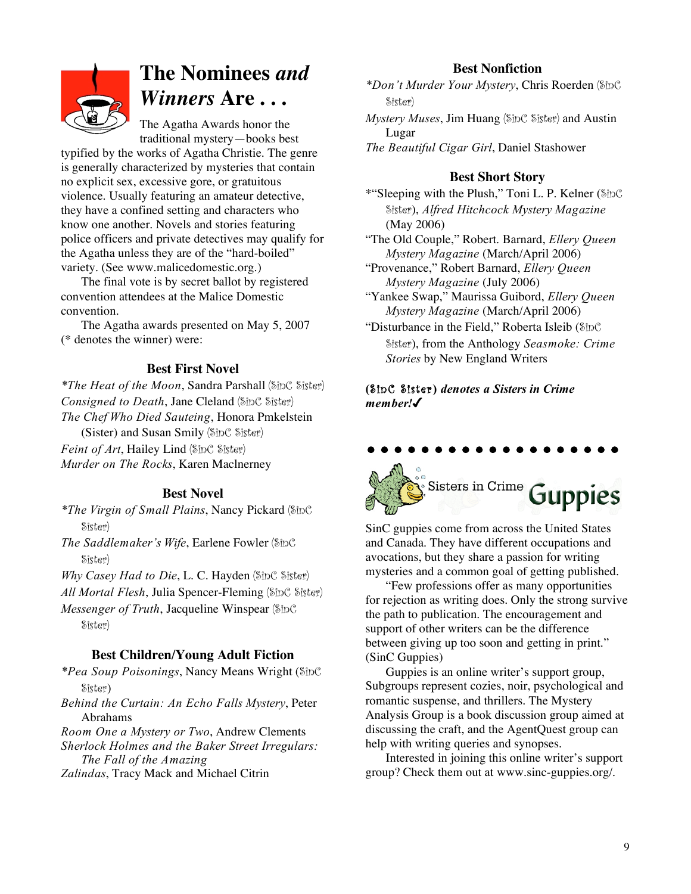

# **The Nominees** *and Winners* **Are . . .**

The Agatha Awards honor the traditional mystery—books best

typified by the works of Agatha Christie. The genre is generally characterized by mysteries that contain no explicit sex, excessive gore, or gratuitous violence. Usually featuring an amateur detective, they have a confined setting and characters who know one another. Novels and stories featuring police officers and private detectives may qualify for the Agatha unless they are of the "hard-boiled" variety. (See www.malicedomestic.org.)

The final vote is by secret ballot by registered convention attendees at the Malice Domestic convention.

The Agatha awards presented on May 5, 2007 (\* denotes the winner) were:

#### **Best First Novel**

*\*The Heat of the Moon*, Sandra Parshall (SinC Sister) *Consigned to Death*, Jane Cleland (SinC Sister) *The Chef Who Died Sauteing*, Honora Pmkelstein

(Sister) and Susan Smily (SinC Sister)

*Feint of Art*, Hailey Lind (SinC Sister) *Murder on The Rocks*, Karen Maclnerney

#### **Best Novel**

*\*The Virgin of Small Plains*, Nancy Pickard (SinC Sister)

*The Saddlemaker's Wife*, Earlene Fowler (SinC Sister)

*Why Casey Had to Die*, L. C. Hayden (SinC Sister)

*All Mortal Flesh*, Julia Spencer-Fleming (SinC Sister)

*Messenger of Truth*, Jacqueline Winspear (SinC Sister)

#### **Best Children/Young Adult Fiction**

*\*Pea Soup Poisonings*, Nancy Means Wright (SinC Sister)

*Behind the Curtain: An Echo Falls Mystery*, Peter Abrahams

*Room One a Mystery or Two*, Andrew Clements

*Sherlock Holmes and the Baker Street Irregulars: The Fall of the Amazing*

*Zalindas*, Tracy Mack and Michael Citrin

#### **Best Nonfiction**

*\*Don't Murder Your Mystery*, Chris Roerden (SinC Sister)

*Mystery Muses*, Jim Huang (SinC Sister) and Austin Lugar

*The Beautiful Cigar Girl*, Daniel Stashower

#### **Best Short Story**

\*"Sleeping with the Plush," Toni L. P. Kelner (SinC Sister), *Alfred Hitchcock Mystery Magazine* (May 2006)

"The Old Couple," Robert. Barnard, *Ellery Queen Mystery Magazine* (March/April 2006)

"Provenance," Robert Barnard, *Ellery Queen Mystery Magazine* (July 2006)

"Yankee Swap," Maurissa Guibord, *Ellery Queen Mystery Magazine* (March/April 2006)

"Disturbance in the Field," Roberta Isleib (SinC Sister), from the Anthology *Seasmoke: Crime Stories* by New England Writers

**(**SinC Sister**)** *denotes a Sisters in Crime member!*

# Sisters in Crime Guppies

SinC guppies come from across the United States and Canada. They have different occupations and avocations, but they share a passion for writing mysteries and a common goal of getting published.

"Few professions offer as many opportunities for rejection as writing does. Only the strong survive the path to publication. The encouragement and support of other writers can be the difference between giving up too soon and getting in print." (SinC Guppies)

Guppies is an online writer's support group, Subgroups represent cozies, noir, psychological and romantic suspense, and thrillers. The Mystery Analysis Group is a book discussion group aimed at discussing the craft, and the AgentQuest group can help with writing queries and synopses.

Interested in joining this online writer's support group? Check them out at www.sinc-guppies.org/.